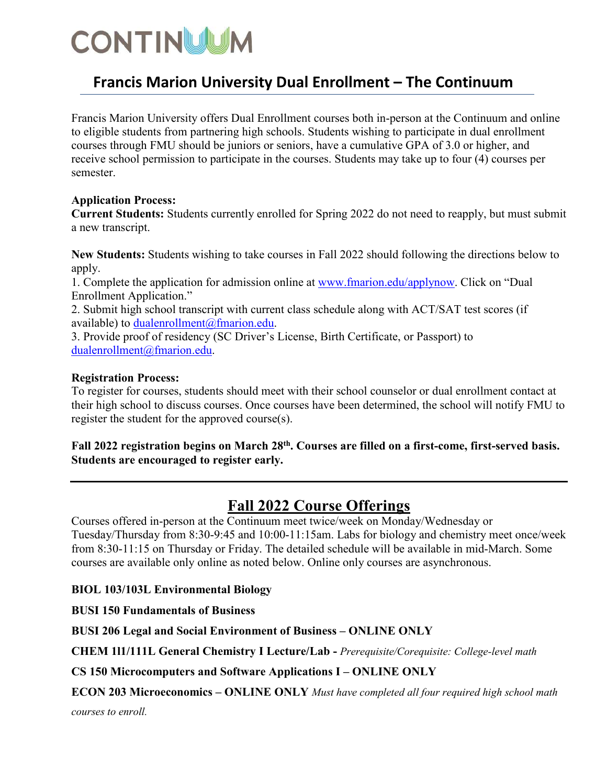# **CONTINUUM**

## **Francis Marion University Dual Enrollment – The Continuum**

Francis Marion University offers Dual Enrollment courses both in-person at the Continuum and online to eligible students from partnering high schools. Students wishing to participate in dual enrollment courses through FMU should be juniors or seniors, have a cumulative GPA of 3.0 or higher, and receive school permission to participate in the courses. Students may take up to four (4) courses per semester.

#### **Application Process:**

**Current Students:** Students currently enrolled for Spring 2022 do not need to reapply, but must submit a new transcript.

**New Students:** Students wishing to take courses in Fall 2022 should following the directions below to apply.

1. Complete the application for admission online at [www.fmarion.edu/applynow.](http://www.fmarion.edu/applynow) Click on "Dual Enrollment Application."

2. Submit high school transcript with current class schedule along with ACT/SAT test scores (if available) to [dualenrollment@fmarion.edu.](mailto:dualenrollment@fmarion.edu)

3. Provide proof of residency (SC Driver's License, Birth Certificate, or Passport) to [dualenrollment@fmarion.edu.](mailto:dualenrollment@fmarion.edu)

#### **Registration Process:**

To register for courses, students should meet with their school counselor or dual enrollment contact at their high school to discuss courses. Once courses have been determined, the school will notify FMU to register the student for the approved course(s).

#### **Fall 2022 registration begins on March 28th . Courses are filled on a first-come, first-served basis. Students are encouraged to register early.**

### **Fall 2022 Course Offerings**

Courses offered in-person at the Continuum meet twice/week on Monday/Wednesday or Tuesday/Thursday from 8:30-9:45 and 10:00-11:15am. Labs for biology and chemistry meet once/week from 8:30-11:15 on Thursday or Friday. The detailed schedule will be available in mid-March. Some courses are available only online as noted below. Online only courses are asynchronous.

#### **BIOL 103/103L Environmental Biology**

**BUSI 150 Fundamentals of Business**

**BUSI 206 Legal and Social Environment of Business – ONLINE ONLY**

**CHEM 1l1/111L General Chemistry I Lecture/Lab -** *Prerequisite/Corequisite: College-level math*

**CS 150 Microcomputers and Software Applications I – ONLINE ONLY**

**ECON 203 Microeconomics – ONLINE ONLY** *Must have completed all four required high school math* 

*courses to enroll.*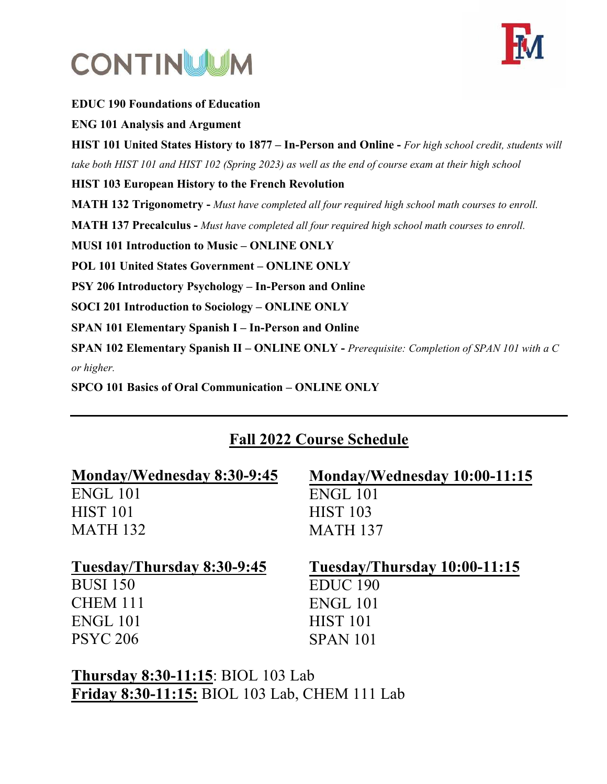



**EDUC 190 Foundations of Education ENG 101 Analysis and Argument HIST 101 United States History to 1877 – In-Person and Online -** *For high school credit, students will take both HIST 101 and HIST 102 (Spring 2023) as well as the end of course exam at their high school* **HIST 103 European History to the French Revolution MATH 132 Trigonometry -** *Must have completed all four required high school math courses to enroll.* **MATH 137 Precalculus -** *Must have completed all four required high school math courses to enroll.* **MUSI 101 Introduction to Music – ONLINE ONLY POL 101 United States Government – ONLINE ONLY PSY 206 Introductory Psychology – In-Person and Online SOCI 201 Introduction to Sociology – ONLINE ONLY SPAN 101 Elementary Spanish I – In-Person and Online SPAN 102 Elementary Spanish II – ONLINE ONLY -** *Prerequisite: Completion of SPAN 101 with a C or higher.*  **SPCO 101 Basics of Oral Communication – ONLINE ONLY**

## **Fall 2022 Course Schedule**

| Monday/Wednesday 8:30-9:45 | Monday/Wednesday 10:00-11:15 |
|----------------------------|------------------------------|
| ENGL 101                   | ENGL 101                     |
| <b>HIST 101</b>            | <b>HIST 103</b>              |
| <b>MATH 132</b>            | <b>MATH 137</b>              |
|                            |                              |
| Tuesday/Thursday 8:30-9:45 | Tuesday/Thursday 10:00-11:15 |
| <b>BUSI 150</b>            | EDUC <sub>190</sub>          |
| <b>CHEM 111</b>            | ENGL 101                     |
| <b>ENGL 101</b>            | <b>HIST 101</b>              |

**Thursday 8:30-11:15**: BIOL 103 Lab **Friday 8:30-11:15:** BIOL 103 Lab, CHEM 111 Lab